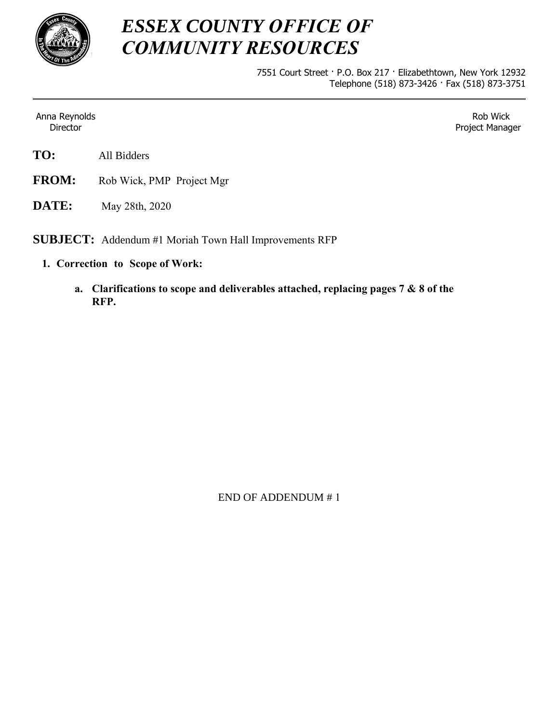

## *ESSEX COUNTY OFFICE OF COMMUNITY RESOURCES*

7551 Court Street · P.O. Box 217 · Elizabethtown, New York 12932 Telephone (518) 873-3426 · Fax (518) 873-3751

Anna Reynolds Director

Rob Wick Project Manager

- **TO:** All Bidders
- **FROM:** Rob Wick, PMP Project Mgr
- **DATE:** May 28th, 2020

**SUBJECT:** Addendum #1 Moriah Town Hall Improvements RFP

- **1. Correction to Scope of Work:**
	- **a. Clarifications to scope and deliverables attached, replacing pages 7 & 8 of the RFP.**

END OF ADDENDUM # 1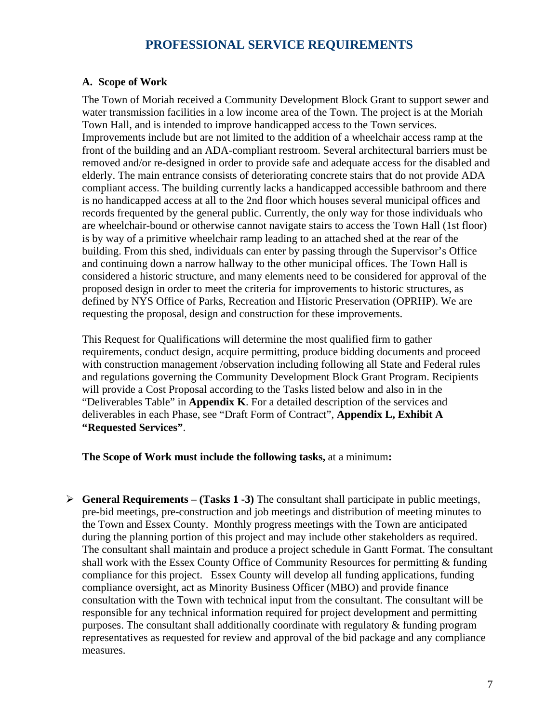## **PROFESSIONAL SERVICE REQUIREMENTS**

## **A. Scope of Work**

The Town of Moriah received a Community Development Block Grant to support sewer and water transmission facilities in a low income area of the Town. The project is at the Moriah Town Hall, and is intended to improve handicapped access to the Town services. Improvements include but are not limited to the addition of a wheelchair access ramp at the front of the building and an ADA-compliant restroom. Several architectural barriers must be removed and/or re-designed in order to provide safe and adequate access for the disabled and elderly. The main entrance consists of deteriorating concrete stairs that do not provide ADA compliant access. The building currently lacks a handicapped accessible bathroom and there is no handicapped access at all to the 2nd floor which houses several municipal offices and records frequented by the general public. Currently, the only way for those individuals who are wheelchair-bound or otherwise cannot navigate stairs to access the Town Hall (1st floor) is by way of a primitive wheelchair ramp leading to an attached shed at the rear of the building. From this shed, individuals can enter by passing through the Supervisor's Office and continuing down a narrow hallway to the other municipal offices. The Town Hall is considered a historic structure, and many elements need to be considered for approval of the proposed design in order to meet the criteria for improvements to historic structures, as defined by NYS Office of Parks, Recreation and Historic Preservation (OPRHP). We are requesting the proposal, design and construction for these improvements.

This Request for Qualifications will determine the most qualified firm to gather requirements, conduct design, acquire permitting, produce bidding documents and proceed with construction management /observation including following all State and Federal rules and regulations governing the Community Development Block Grant Program. Recipients will provide a Cost Proposal according to the Tasks listed below and also in in the "Deliverables Table" in **Appendix K**. For a detailed description of the services and deliverables in each Phase, see "Draft Form of Contract", **Appendix L, Exhibit A "Requested Services"**.

**The Scope of Work must include the following tasks,** at a minimum**:** 

 $\triangleright$  **General Requirements – (Tasks 1 -3)** The consultant shall participate in public meetings, pre-bid meetings, pre-construction and job meetings and distribution of meeting minutes to the Town and Essex County. Monthly progress meetings with the Town are anticipated during the planning portion of this project and may include other stakeholders as required. The consultant shall maintain and produce a project schedule in Gantt Format. The consultant shall work with the Essex County Office of Community Resources for permitting & funding compliance for this project. Essex County will develop all funding applications, funding compliance oversight, act as Minority Business Officer (MBO) and provide finance consultation with the Town with technical input from the consultant. The consultant will be responsible for any technical information required for project development and permitting purposes. The consultant shall additionally coordinate with regulatory & funding program representatives as requested for review and approval of the bid package and any compliance measures.